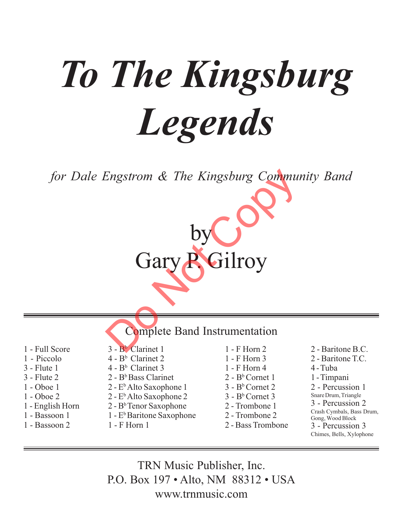# *To The Kingsburg Legends*

*for Dale Engstrom & The Kingsburg Community Band* Engstrom & The Kingsburg Commun<br>
by Gilroy<br>
Gary P Gilroy<br>
Complete Band Instrumentation

by

### Complete Band Instrumentation

- 1 Full Score
- 1 Piccolo
- 3 Flute 1
- 3 Flute 2
- 1 Oboe 1
- 1 Oboe 2
- 1 English Horn
- 1 Bassoon 1
- 1 Bassoon 2
- $3 B<sup>b</sup>$  Clarinet 1  $4 - B<sup>b</sup>$  Clarinet 2
- 4 Bb Clarinet 3
- $2 B<sup>b</sup>$  Bass Clarinet
- $2 E^b$  Alto Saxophone 1

Gary

- $2 E<sup>b</sup>$  Alto Saxophone 2
- $2 B<sup>b</sup>$  Tenor Saxophone
- 1 Eb Baritone Saxophone
- 1 F Horn 1
- 1 F Horn 2
- 1 F Horn 3
- 1 F Horn 4
- $2 B<sup>b</sup>$  Cornet 1
- $3 B<sup>b</sup>$  Cornet 2
- $3 B<sup>b</sup>$  Cornet 3
- 2 Trombone 1
- 2 Trombone 2
- 2 Bass Trombone
- 2 Baritone B.C.
- 2 Baritone T.C.
- 4 Tuba
- 1 Timpani
- 2 Percussion 1
- Snare Drum, Triangle
- 3 Percussion 2
- Crash Cymbals, Bass Drum, Gong, Wood Block 3 - Percussion 3
- Chimes, Bells, Xylophone

TRN Music Publisher, Inc. P.O. Box 197 • Alto, NM 88312 • USA www.trnmusic.com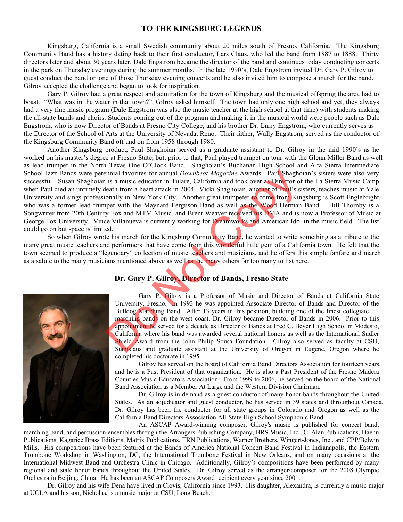#### **TO THE KINGSBURG LEGENDS**

Kingsburg, California is a small Swedish community about 20 miles south of Fresno, California. The Kingsburg Community Band has a history dating back to their first conductor, Lars Claus, who led the band from 1887 to 1888. Thirty directors later and about 30 years later, Dale Engstrom became the director of the band and continues today conducting concerts in the park on Thursday evenings during the summer months. In the late 1990's, Dale Engstrom invited Dr. Gary P. Gilroy to guest conduct the band on one of those Thursday evening concerts and he also invited him to compose a march for the band. Gilroy accepted the challenge and began to look for inspiration.

Gary P. Gilroy had a great respect and admiration for the town of Kingsburg and the musical offspring the area had to boast. "What was in the water in that town?", Gilroy asked himself. The town had only one high school and yet, they always had a very fine music program (Dale Engstrom was also the music teacher at the high school at that time) with students making the all-state bands and choirs. Students coming out of the program and making it in the musical world were people such as Dale Engstrom, who is now Director of Bands at Fresno City College, and his brother Dr. Larry Engstrom, who currently serves as the Director of the School of Arts at the University of Nevada, Reno. Their father, Wally Engstrom, served as the conductor of the Kingsburg Community Band off and on from 1958 through 1980.

Another Kingsburg product, Paul Shaghoian served as a graduate assistant to Dr. Gilroy in the mid 1990's as he worked on his master's degree at Fresno State, but, prior to that, Paul played trumpet on tour with the Glenn Miller Band as well as lead trumpet in the North Texas One O'Clock Band. Shaghoian's Buchanan High School and Alta Sierra Intermediate School Jazz Bands were perennial favorites for annual *Downbeat Magazine* Awards. Paul Shaghoian's sisters were also very successful. Susan Shaghoian is a music educator in Tulare, California and took over as Director of the La Sierra Music Camp when Paul died an untimely death from a heart attack in 2004. Vicki Shaghoian, another of Paul's sisters, teaches music at Yale University and sings professionally in New York City. Another great trumpeter to come from Kingsburg is Scott Englebright, who was a former lead trumpet with the Maynard Ferguson Band as well as the Wood Herman Band. Bill Thornby is a Songwriter from 20th Century Fox and MTM Music, and Brent Weaver received his DMA and is now a Professor of Music at George Fox University. Vince Villanueva is currently working for Dreamworks and American Idol in the music field. The list could go on but space is limited. minal favorites for annual *Downbeat Magazine* Awards. Paul Shaghc<br>is a music educator in Tulare, California and took over a Director of<br>each from a heart attack in 2004. Vicki Shaghcain, and took over a Director of<br>each f

So when Gilroy wrote his march for the Kingsburg Community Band, he wanted to write something as a tribute to the many great music teachers and performers that have come from this wonderful little gem of a California town. He felt that the town seemed to produce a "legendary" collection of music teachers and musicians, and he offers this simple fanfare and march as a salute to the many musicians mentioned above as well as the many others far too many to list here.



#### **Dr. Gary P. Gilroy, Director of Bands, Fresno State**

Gary P. Gilroy is a Professor of Music and Director of Bands at California State University, Fresno. In 1993 he was appointed Associate Director of Bands and Director of the Bulldog Marching Band. After 13 years in this position, building one of the finest collegiate marching bands on the west coast, Dr. Gilroy became Director of Bands in 2006. Prior to this appointment he served for a decade as Director of Bands at Fred C. Beyer High School in Modesto, California where his band was awarded several national honors as well as the International Sudler Shield Award from the John Philip Sousa Foundation. Gilroy also served as faculty at CSU, Stanislaus and graduate assistant at the University of Oregon in Eugene, Oregon where he completed his doctorate in 1995.

Gilroy has served on the board of California Band Directors Association for fourteen years, and he is a Past President of that organization. He is also a Past President of the Fresno Madera Counties Music Educators Association. From 1999 to 2006, he served on the board of the National Band Association as a Member At Large and the Western Division Chairman.

Dr. Gilroy is in demand as a guest conductor of many honor bands throughout the United States. As an adjudicator and guest conductor, he has served in 39 states and throughout Canada. Dr. Gilroy has been the conductor for all state groups in Colorado and Oregon as well as the California Band Directors Association All-State High School Symphonic Band.

An ASCAP Award-winning composer, Gilroy's music is published for concert band, marching band, and percussion ensembles through the Arrangers Publishing Company, BRS Music, Inc., C. Alan Publications, Daehn Publications, Kagarice Brass Editions, Matrix Publications, TRN Publications, Warner Brothers, Wingert-Jones, Inc., and CPP/Belwin Mills. His compositions have been featured at the Bands of America National Concert Band Festival in Indianapolis, the Eastern Trombone Workshop in Washington, DC, the International Trombone Festival in New Orleans, and on many occasions at the International Midwest Band and Orchestra Clinic in Chicago. Additionally, Gilroy's compositions have been performed by many regional and state honor bands throughout the United States. Dr. Gilroy served as the arranger/composer for the 2008 Olympic Orchestra in Beijing, China. He has been an ASCAP Composers Award recipient every year since 2001.

Dr. Gilroy and his wife Dena have lived in Clovis, California since 1993. His daughter, Alexandra, is currently a music major at UCLA and his son, Nicholas, is a music major at CSU, Long Beach.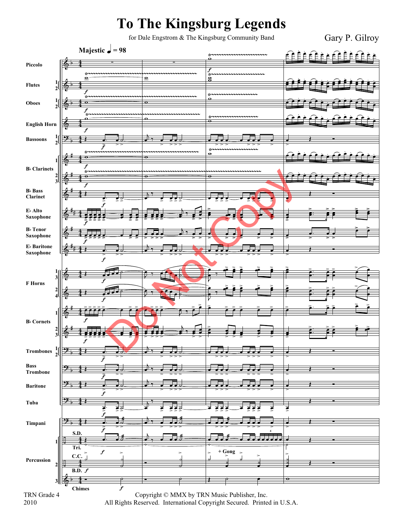## **To The Kingsburg Legends**

for Dale Engstrom & The Kingsburg Community Band Gary P. Gilroy

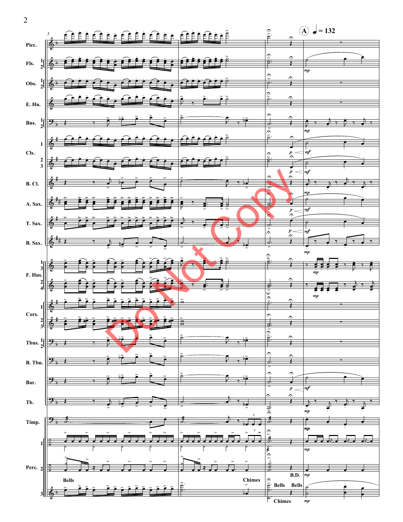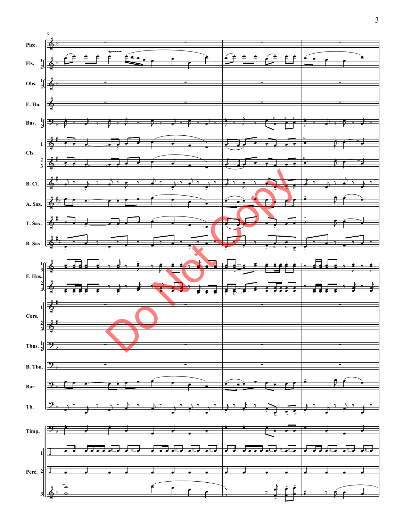